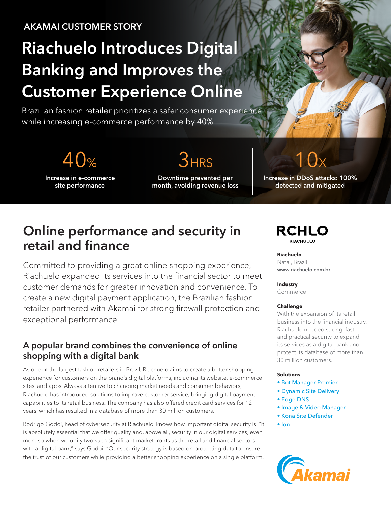# AKAMAI CUSTOMER STORY

# Riachuelo Introduces Digital Banking and Improves the Customer Experience Online

Brazilian fashion retailer prioritizes a safer consumer experience while increasing e-commerce performance by 40%

 $40%$  3HRS

Increase in e-commerce site performance

Downtime prevented per month, avoiding revenue loss

Increase in DDoS attacks: 100% detected and mitigated

# Online performance and security in retail and finance

Committed to providing a great online shopping experience, Riachuelo expanded its services into the financial sector to meet customer demands for greater innovation and convenience. To create a new digital payment application, the Brazilian fashion retailer partnered with Akamai for strong firewall protection and exceptional performance.

### A popular brand combines the convenience of online shopping with a digital bank

As one of the largest fashion retailers in Brazil, Riachuelo aims to create a better shopping experience for customers on the brand's digital platforms, including its website, e-commerce sites, and apps. Always attentive to changing market needs and consumer behaviors, Riachuelo has introduced solutions to improve customer service, bringing digital payment capabilities to its retail business. The company has also offered credit card services for 12 years, which has resulted in a database of more than 30 million customers.

Rodrigo Godoi, head of cybersecurity at Riachuelo, knows how important digital security is. "It is absolutely essential that we offer quality and, above all, security in our digital services, even more so when we unify two such significant market fronts as the retail and financial sectors with a digital bank," says Godoi. "Our security strategy is based on protecting data to ensure the trust of our customers while providing a better shopping experience on a single platform."

### **RCHLO RIACHUELO**

**Riachuelo** Natal, Brazil [www.riachuelo.com.br](http://www.riachuelo.com.br) 

**Industry**

Commerce

#### **Challenge**

With the expansion of its retail business into the financial industry, Riachuelo needed strong, fast, and practical security to expand its services as a digital bank and protect its database of more than 30 million customers.

#### **Solutions**

- [Bot Manager Premier](https://www.akamai.com/us/en/products/security/bot-manager.jsp)
- [Dynamic Site Delivery](https://www.akamai.com/us/en/products/performance/dynamic-site-delivery.jsp)
- [Edge DNS](https://www.akamai.com/us/en/products/security/edge-dns.jsp)
- [Image & Video Manager](https://www.akamai.com/us/en/products/performance/image-and-video-manager.jsp)
- [Kona Site Defender](https://www.akamai.com/us/en/products/security/kona-site-defender.jsp)
- [Ion](https://www.akamai.com/us/en/products/performance/web-performance-optimization.jsp)

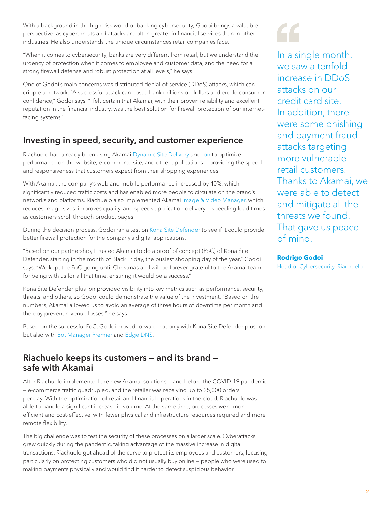With a background in the high-risk world of banking cybersecurity, Godoi brings a valuable perspective, as cyberthreats and attacks are often greater in financial services than in other industries. He also understands the unique circumstances retail companies face.

"When it comes to cybersecurity, banks are very different from retail, but we understand the urgency of protection when it comes to employee and customer data, and the need for a strong firewall defense and robust protection at all levels," he says.

One of Godoi's main concerns was distributed denial-of-service (DDoS) attacks, which can cripple a network. "A successful attack can cost a bank millions of dollars and erode consumer confidence," Godoi says. "I felt certain that Akamai, with their proven reliability and excellent reputation in the financial industry, was the best solution for firewall protection of our internetfacing systems."

# Investing in speed, security, and customer experience

Riachuelo had already been using Akamai [Dynamic Site Delivery](https://www.akamai.com/us/en/products/performance/dynamic-site-delivery.jsp) and [Ion](https://www.akamai.com/us/en/products/performance/web-performance-optimization.jsp) to optimize performance on the website, e-commerce site, and other applications — providing the speed and responsiveness that customers expect from their shopping experiences.

With Akamai, the company's web and mobile performance increased by 40%, which significantly reduced traffic costs and has enabled more people to circulate on the brand's networks and platforms. Riachuelo also implemented Akamai [Image & Video Manager,](https://www.akamai.com/us/en/products/performance/image-and-video-manager.jsp) which reduces image sizes, improves quality, and speeds application delivery — speeding load times as customers scroll through product pages.

During the decision process, Godoi ran a test on [Kona Site Defender](https://www.akamai.com/us/en/products/security/kona-site-defender.jsp) to see if it could provide better firewall protection for the company's digital applications.

"Based on our partnership, I trusted Akamai to do a proof of concept (PoC) of Kona Site Defender, starting in the month of Black Friday, the busiest shopping day of the year," Godoi says. "We kept the PoC going until Christmas and will be forever grateful to the Akamai team for being with us for all that time, ensuring it would be a success."

Kona Site Defender plus Ion provided visibility into key metrics such as performance, security, threats, and others, so Godoi could demonstrate the value of the investment. "Based on the numbers, Akamai allowed us to avoid an average of three hours of downtime per month and thereby prevent revenue losses," he says.

Based on the successful PoC, Godoi moved forward not only with Kona Site Defender plus Ion but also with [Bot Manager Premier](https://www.akamai.com/us/en/products/security/bot-manager.jsp) and [Edge DNS.](https://www.akamai.com/us/en/products/security/edge-dns.jsp)

### Riachuelo keeps its customers — and its brand safe with Akamai

After Riachuelo implemented the new Akamai solutions — and before the COVID-19 pandemic — e-commerce traffic quadrupled, and the retailer was receiving up to 25,000 orders per day. With the optimization of retail and financial operations in the cloud, Riachuelo was able to handle a significant increase in volume. At the same time, processes were more efficient and cost-effective, with fewer physical and infrastructure resources required and more remote flexibility.

The big challenge was to test the security of these processes on a larger scale. Cyberattacks grew quickly during the pandemic, taking advantage of the massive increase in digital transactions. Riachuelo got ahead of the curve to protect its employees and customers, focusing particularly on protecting customers who did not usually buy online — people who were used to making payments physically and would find it harder to detect suspicious behavior.

In a single month, we saw a tenfold increase in DDoS attacks on our credit card site. In addition, there were some phishing and payment fraud attacks targeting more vulnerable retail customers. Thanks to Akamai, we were able to detect and mitigate all the threats we found. That gave us peace of mind.

#### **Rodrigo Godoi**

Head of Cybersecurity, Riachuelo